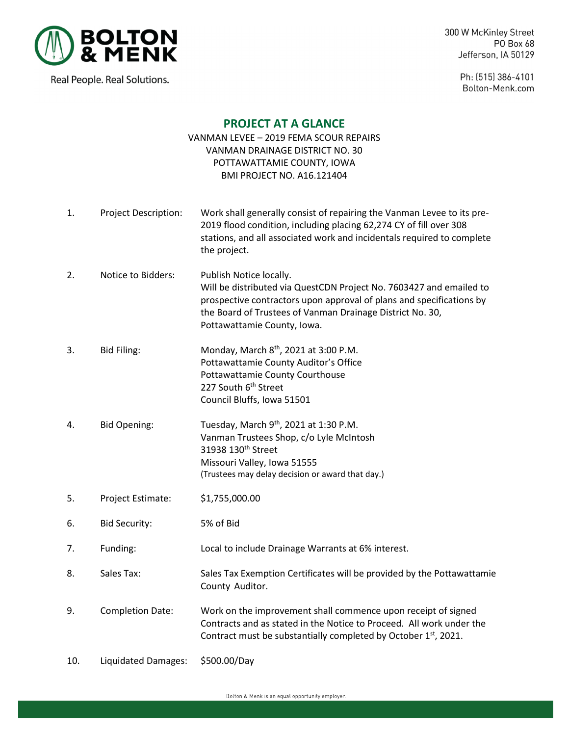

Real People. Real Solutions.

300 W McKinley Street PO Box 68 Jefferson, IA 50129

> Ph: (515) 386-4101 Bolton-Menk.com

## **PROJECT AT A GLANCE**

## VANMAN LEVEE – 2019 FEMA SCOUR REPAIRS VANMAN DRAINAGE DISTRICT NO. 30 POTTAWATTAMIE COUNTY, IOWA BMI PROJECT NO. A16.121404

- 1. Project Description: Work shall generally consist of repairing the Vanman Levee to its pre- 2019 flood condition, including placing 62,274 CY of fill over 308 stations, and all associated work and incidentals required to complete the project.
- 2. Notice to Bidders: Publish Notice locally. Will be distributed via QuestCDN Project No. 7603427 and emailed to prospective contractors upon approval of plans and specifications by the Board of Trustees of Vanman Drainage District No. 30, Pottawattamie County, Iowa.
- 3. Bid Filing: Monday, March  $8<sup>th</sup>$ , 2021 at 3:00 P.M. Pottawattamie County Auditor's Office Pottawattamie County Courthouse 227 South 6<sup>th</sup> Street Council Bluffs, Iowa 51501
- 4. Bid Opening: Tuesday, March  $9<sup>th</sup>$ , 2021 at 1:30 P.M. Vanman Trustees Shop, c/o Lyle McIntosh 31938 130th Street Missouri Valley, Iowa 51555 (Trustees may delay decision or award that day.)
- 5. Project Estimate: \$1,755,000.00
- 6. Bid Security: 5% of Bid
- 7. Funding: Local to include Drainage Warrants at 6% interest.
- 8. Sales Tax: Sales Tax Exemption Certificates will be provided by the Pottawattamie County Auditor.
- 9. Completion Date: Work on the improvement shall commence upon receipt of signed Contracts and as stated in the Notice to Proceed. All work under the Contract must be substantially completed by October  $1<sup>st</sup>$ , 2021.
- 10. Liquidated Damages: \$500.00/Day